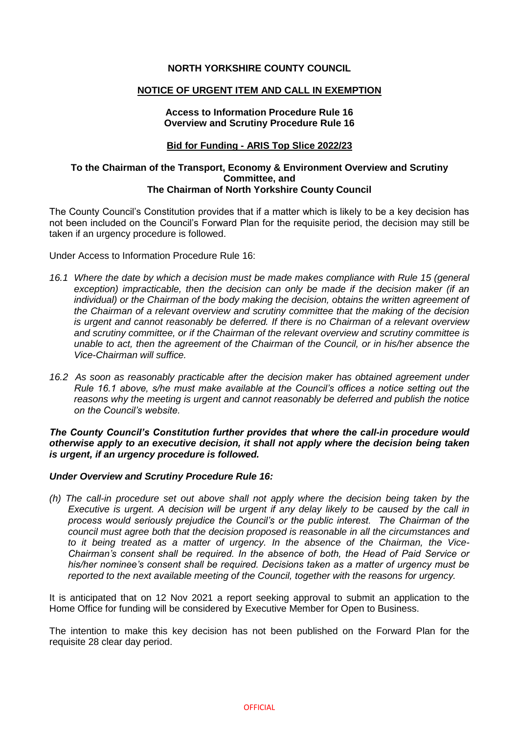# **NORTH YORKSHIRE COUNTY COUNCIL**

## **NOTICE OF URGENT ITEM AND CALL IN EXEMPTION**

# **Access to Information Procedure Rule 16 Overview and Scrutiny Procedure Rule 16**

# **Bid for Funding - ARIS Top Slice 2022/23**

#### **To the Chairman of the Transport, Economy & Environment Overview and Scrutiny Committee, and The Chairman of North Yorkshire County Council**

The County Council's Constitution provides that if a matter which is likely to be a key decision has not been included on the Council's Forward Plan for the requisite period, the decision may still be taken if an urgency procedure is followed.

Under Access to Information Procedure Rule 16:

- *16.1 Where the date by which a decision must be made makes compliance with Rule 15 (general exception) impracticable, then the decision can only be made if the decision maker (if an*  individual) or the Chairman of the body making the decision, obtains the written agreement of *the Chairman of a relevant overview and scrutiny committee that the making of the decision is urgent and cannot reasonably be deferred. If there is no Chairman of a relevant overview and scrutiny committee, or if the Chairman of the relevant overview and scrutiny committee is unable to act, then the agreement of the Chairman of the Council, or in his/her absence the Vice-Chairman will suffice.*
- *16.2 As soon as reasonably practicable after the decision maker has obtained agreement under Rule 16.1 above, s/he must make available at the Council's offices a notice setting out the reasons why the meeting is urgent and cannot reasonably be deferred and publish the notice on the Council's website.*

*The County Council's Constitution further provides that where the call-in procedure would otherwise apply to an executive decision, it shall not apply where the decision being taken is urgent, if an urgency procedure is followed.*

#### *Under Overview and Scrutiny Procedure Rule 16:*

*(h) The call-in procedure set out above shall not apply where the decision being taken by the Executive is urgent. A decision will be urgent if any delay likely to be caused by the call in process would seriously prejudice the Council's or the public interest. The Chairman of the council must agree both that the decision proposed is reasonable in all the circumstances and to it being treated as a matter of urgency. In the absence of the Chairman, the Vice-Chairman's consent shall be required. In the absence of both, the Head of Paid Service or his/her nominee's consent shall be required. Decisions taken as a matter of urgency must be reported to the next available meeting of the Council, together with the reasons for urgency.*

It is anticipated that on 12 Nov 2021 a report seeking approval to submit an application to the Home Office for funding will be considered by Executive Member for Open to Business.

The intention to make this key decision has not been published on the Forward Plan for the requisite 28 clear day period.